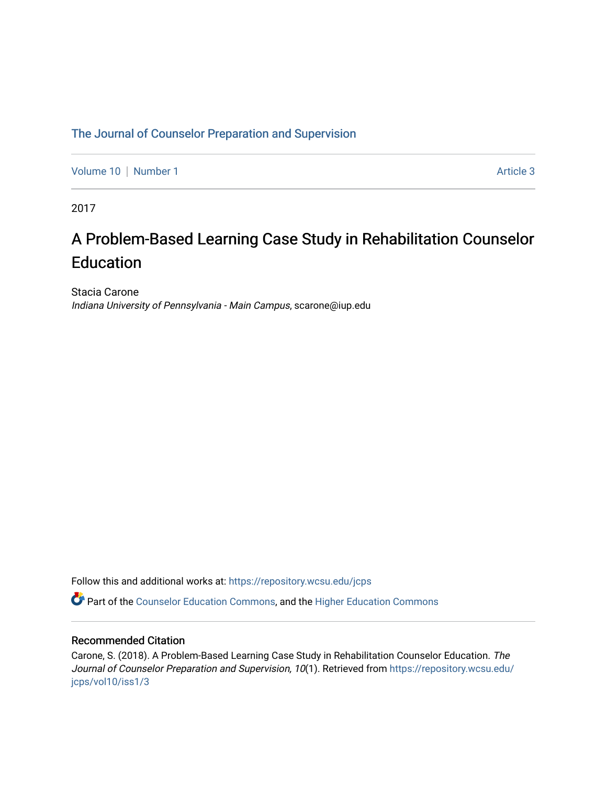# [The Journal of Counselor Preparation and Supervision](https://repository.wcsu.edu/jcps)

[Volume 10](https://repository.wcsu.edu/jcps/vol10) | [Number 1](https://repository.wcsu.edu/jcps/vol10/iss1) Article 3

2017

# A Problem-Based Learning Case Study in Rehabilitation Counselor Education

Stacia Carone Indiana University of Pennsylvania - Main Campus, scarone@iup.edu

Follow this and additional works at: [https://repository.wcsu.edu/jcps](https://repository.wcsu.edu/jcps?utm_source=repository.wcsu.edu%2Fjcps%2Fvol10%2Fiss1%2F3&utm_medium=PDF&utm_campaign=PDFCoverPages) 

Part of the [Counselor Education Commons,](http://network.bepress.com/hgg/discipline/1278?utm_source=repository.wcsu.edu%2Fjcps%2Fvol10%2Fiss1%2F3&utm_medium=PDF&utm_campaign=PDFCoverPages) and the [Higher Education Commons](http://network.bepress.com/hgg/discipline/1245?utm_source=repository.wcsu.edu%2Fjcps%2Fvol10%2Fiss1%2F3&utm_medium=PDF&utm_campaign=PDFCoverPages) 

# Recommended Citation

Carone, S. (2018). A Problem-Based Learning Case Study in Rehabilitation Counselor Education. The Journal of Counselor Preparation and Supervision, 10(1). Retrieved from [https://repository.wcsu.edu/](https://repository.wcsu.edu/jcps/vol10/iss1/3?utm_source=repository.wcsu.edu%2Fjcps%2Fvol10%2Fiss1%2F3&utm_medium=PDF&utm_campaign=PDFCoverPages) [jcps/vol10/iss1/3](https://repository.wcsu.edu/jcps/vol10/iss1/3?utm_source=repository.wcsu.edu%2Fjcps%2Fvol10%2Fiss1%2F3&utm_medium=PDF&utm_campaign=PDFCoverPages)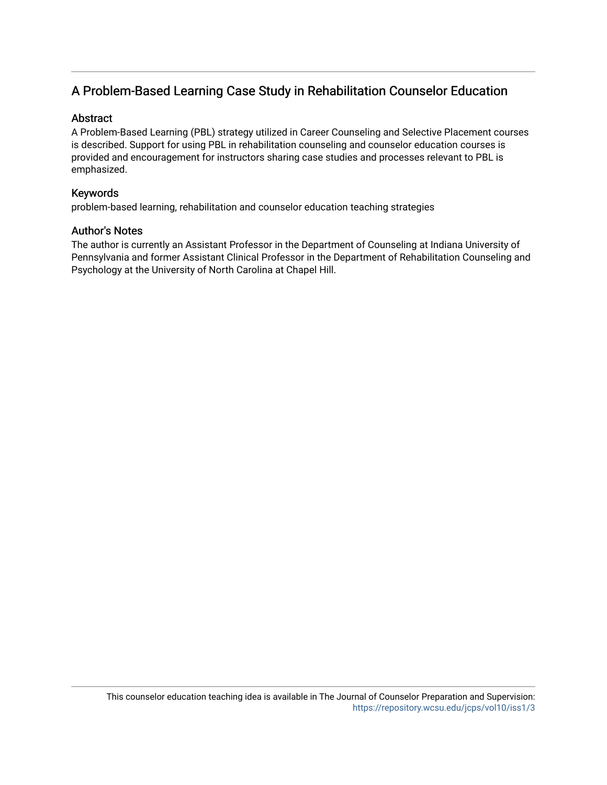# A Problem-Based Learning Case Study in Rehabilitation Counselor Education

# Abstract

A Problem-Based Learning (PBL) strategy utilized in Career Counseling and Selective Placement courses is described. Support for using PBL in rehabilitation counseling and counselor education courses is provided and encouragement for instructors sharing case studies and processes relevant to PBL is emphasized.

# Keywords

problem-based learning, rehabilitation and counselor education teaching strategies

# Author's Notes

The author is currently an Assistant Professor in the Department of Counseling at Indiana University of Pennsylvania and former Assistant Clinical Professor in the Department of Rehabilitation Counseling and Psychology at the University of North Carolina at Chapel Hill.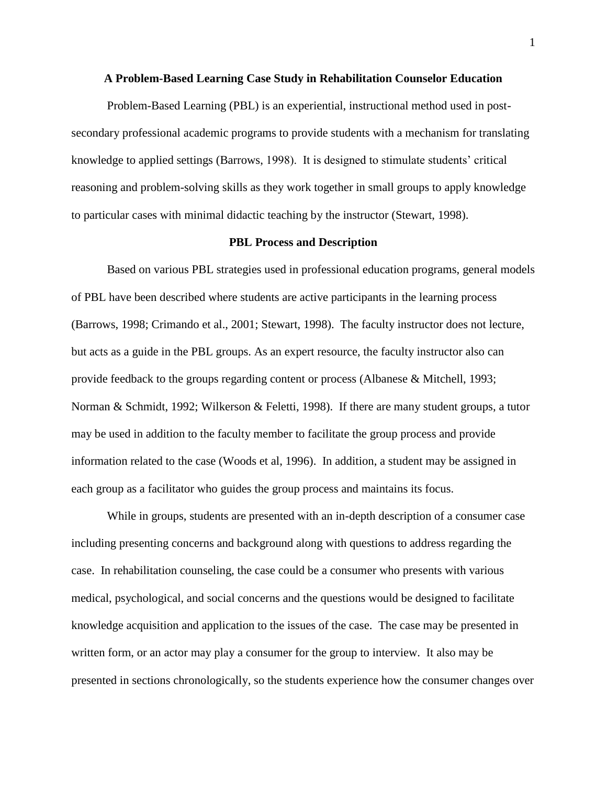#### **A Problem-Based Learning Case Study in Rehabilitation Counselor Education**

Problem-Based Learning (PBL) is an experiential, instructional method used in postsecondary professional academic programs to provide students with a mechanism for translating knowledge to applied settings (Barrows, 1998). It is designed to stimulate students' critical reasoning and problem-solving skills as they work together in small groups to apply knowledge to particular cases with minimal didactic teaching by the instructor (Stewart, 1998).

#### **PBL Process and Description**

Based on various PBL strategies used in professional education programs, general models of PBL have been described where students are active participants in the learning process (Barrows, 1998; Crimando et al., 2001; Stewart, 1998). The faculty instructor does not lecture, but acts as a guide in the PBL groups. As an expert resource, the faculty instructor also can provide feedback to the groups regarding content or process (Albanese & Mitchell, 1993; Norman & Schmidt, 1992; Wilkerson & Feletti, 1998). If there are many student groups, a tutor may be used in addition to the faculty member to facilitate the group process and provide information related to the case (Woods et al, 1996). In addition, a student may be assigned in each group as a facilitator who guides the group process and maintains its focus.

While in groups, students are presented with an in-depth description of a consumer case including presenting concerns and background along with questions to address regarding the case. In rehabilitation counseling, the case could be a consumer who presents with various medical, psychological, and social concerns and the questions would be designed to facilitate knowledge acquisition and application to the issues of the case. The case may be presented in written form, or an actor may play a consumer for the group to interview. It also may be presented in sections chronologically, so the students experience how the consumer changes over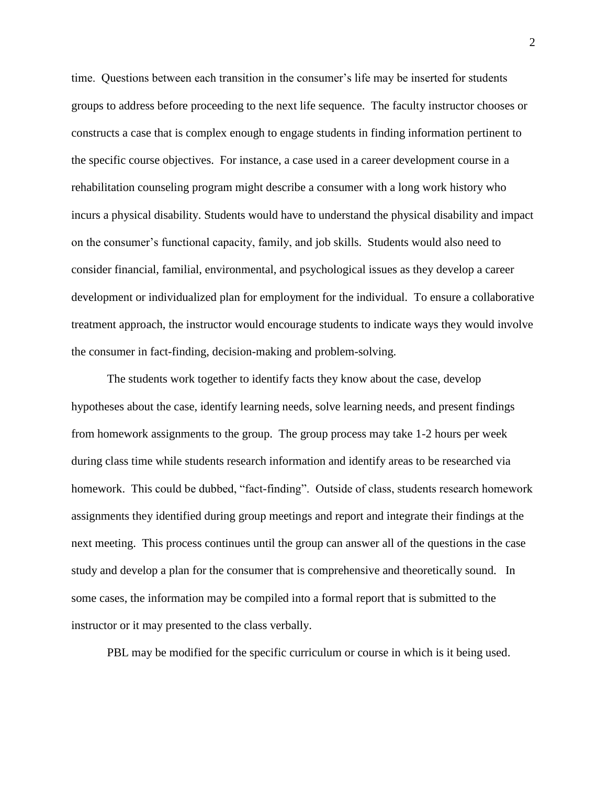time. Questions between each transition in the consumer's life may be inserted for students groups to address before proceeding to the next life sequence. The faculty instructor chooses or constructs a case that is complex enough to engage students in finding information pertinent to the specific course objectives. For instance, a case used in a career development course in a rehabilitation counseling program might describe a consumer with a long work history who incurs a physical disability. Students would have to understand the physical disability and impact on the consumer's functional capacity, family, and job skills. Students would also need to consider financial, familial, environmental, and psychological issues as they develop a career development or individualized plan for employment for the individual. To ensure a collaborative treatment approach, the instructor would encourage students to indicate ways they would involve the consumer in fact-finding, decision-making and problem-solving.

The students work together to identify facts they know about the case, develop hypotheses about the case, identify learning needs, solve learning needs, and present findings from homework assignments to the group. The group process may take 1-2 hours per week during class time while students research information and identify areas to be researched via homework. This could be dubbed, "fact-finding". Outside of class, students research homework assignments they identified during group meetings and report and integrate their findings at the next meeting. This process continues until the group can answer all of the questions in the case study and develop a plan for the consumer that is comprehensive and theoretically sound. In some cases, the information may be compiled into a formal report that is submitted to the instructor or it may presented to the class verbally.

PBL may be modified for the specific curriculum or course in which is it being used.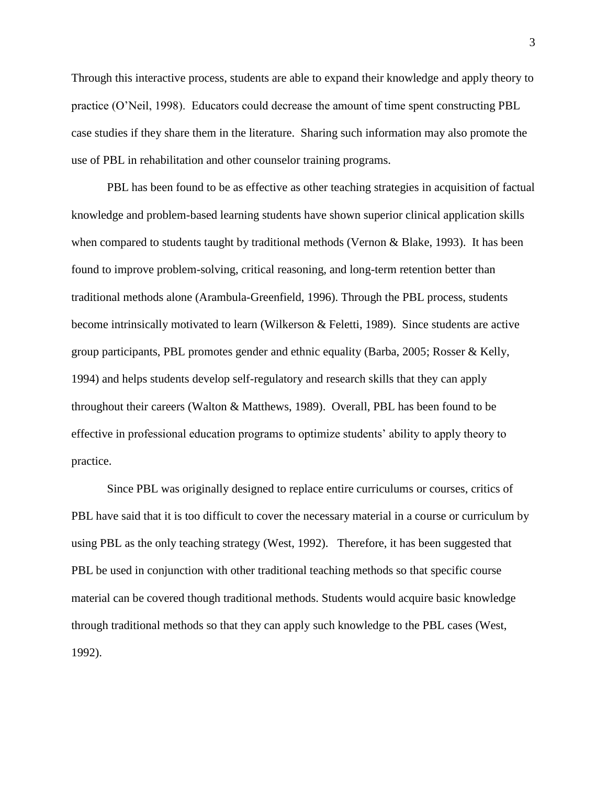Through this interactive process, students are able to expand their knowledge and apply theory to practice (O'Neil, 1998). Educators could decrease the amount of time spent constructing PBL case studies if they share them in the literature. Sharing such information may also promote the use of PBL in rehabilitation and other counselor training programs.

PBL has been found to be as effective as other teaching strategies in acquisition of factual knowledge and problem-based learning students have shown superior clinical application skills when compared to students taught by traditional methods (Vernon & Blake, 1993). It has been found to improve problem-solving, critical reasoning, and long-term retention better than traditional methods alone (Arambula-Greenfield, 1996). Through the PBL process, students become intrinsically motivated to learn (Wilkerson & Feletti, 1989). Since students are active group participants, PBL promotes gender and ethnic equality (Barba, 2005; Rosser & Kelly, 1994) and helps students develop self-regulatory and research skills that they can apply throughout their careers (Walton & Matthews, 1989). Overall, PBL has been found to be effective in professional education programs to optimize students' ability to apply theory to practice.

Since PBL was originally designed to replace entire curriculums or courses, critics of PBL have said that it is too difficult to cover the necessary material in a course or curriculum by using PBL as the only teaching strategy (West, 1992). Therefore, it has been suggested that PBL be used in conjunction with other traditional teaching methods so that specific course material can be covered though traditional methods. Students would acquire basic knowledge through traditional methods so that they can apply such knowledge to the PBL cases (West, 1992).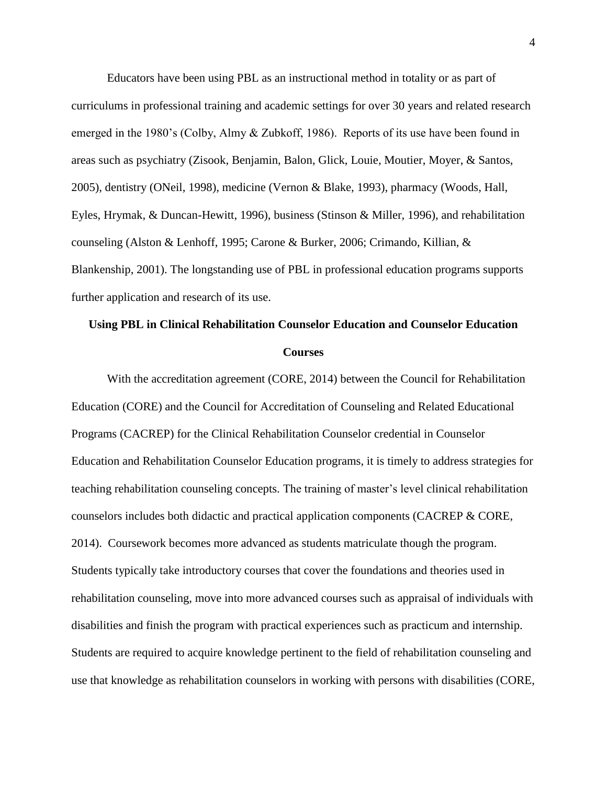Educators have been using PBL as an instructional method in totality or as part of curriculums in professional training and academic settings for over 30 years and related research emerged in the 1980's (Colby, Almy & Zubkoff, 1986). Reports of its use have been found in areas such as psychiatry (Zisook, Benjamin, Balon, Glick, Louie, Moutier, Moyer, & Santos, 2005), dentistry (ONeil, 1998), medicine (Vernon & Blake, 1993), pharmacy (Woods, Hall, Eyles, Hrymak, & Duncan-Hewitt, 1996), business (Stinson & Miller, 1996), and rehabilitation counseling (Alston & Lenhoff, 1995; Carone & Burker, 2006; Crimando, Killian, & Blankenship, 2001). The longstanding use of PBL in professional education programs supports further application and research of its use.

# **Using PBL in Clinical Rehabilitation Counselor Education and Counselor Education Courses**

With the accreditation agreement (CORE, 2014) between the Council for Rehabilitation Education (CORE) and the Council for Accreditation of Counseling and Related Educational Programs (CACREP) for the Clinical Rehabilitation Counselor credential in Counselor Education and Rehabilitation Counselor Education programs, it is timely to address strategies for teaching rehabilitation counseling concepts. The training of master's level clinical rehabilitation counselors includes both didactic and practical application components (CACREP & CORE, 2014). Coursework becomes more advanced as students matriculate though the program. Students typically take introductory courses that cover the foundations and theories used in rehabilitation counseling, move into more advanced courses such as appraisal of individuals with disabilities and finish the program with practical experiences such as practicum and internship. Students are required to acquire knowledge pertinent to the field of rehabilitation counseling and use that knowledge as rehabilitation counselors in working with persons with disabilities (CORE,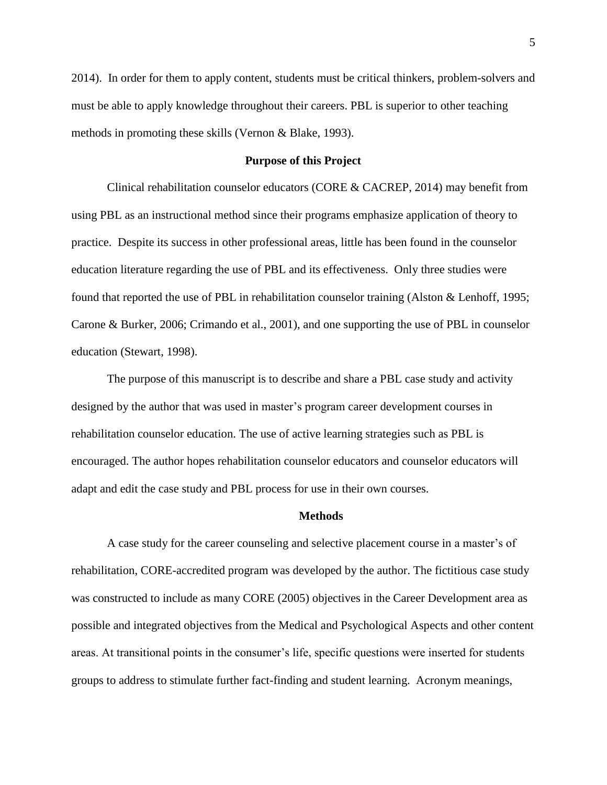2014). In order for them to apply content, students must be critical thinkers, problem-solvers and must be able to apply knowledge throughout their careers. PBL is superior to other teaching methods in promoting these skills (Vernon & Blake, 1993).

## **Purpose of this Project**

Clinical rehabilitation counselor educators (CORE & CACREP, 2014) may benefit from using PBL as an instructional method since their programs emphasize application of theory to practice. Despite its success in other professional areas, little has been found in the counselor education literature regarding the use of PBL and its effectiveness. Only three studies were found that reported the use of PBL in rehabilitation counselor training (Alston & Lenhoff, 1995; Carone & Burker, 2006; Crimando et al., 2001), and one supporting the use of PBL in counselor education (Stewart, 1998).

The purpose of this manuscript is to describe and share a PBL case study and activity designed by the author that was used in master's program career development courses in rehabilitation counselor education. The use of active learning strategies such as PBL is encouraged. The author hopes rehabilitation counselor educators and counselor educators will adapt and edit the case study and PBL process for use in their own courses.

#### **Methods**

A case study for the career counseling and selective placement course in a master's of rehabilitation, CORE-accredited program was developed by the author. The fictitious case study was constructed to include as many CORE (2005) objectives in the Career Development area as possible and integrated objectives from the Medical and Psychological Aspects and other content areas. At transitional points in the consumer's life, specific questions were inserted for students groups to address to stimulate further fact-finding and student learning. Acronym meanings,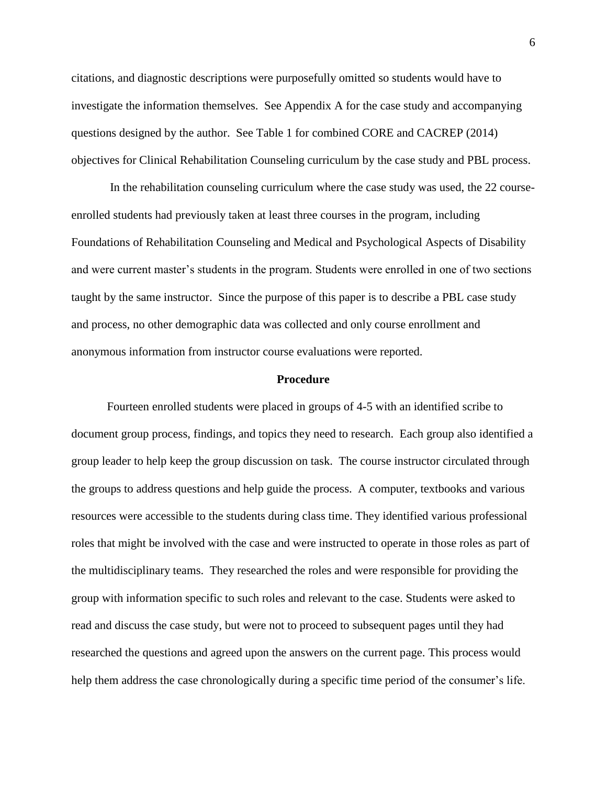citations, and diagnostic descriptions were purposefully omitted so students would have to investigate the information themselves. See Appendix A for the case study and accompanying questions designed by the author. See Table 1 for combined CORE and CACREP (2014) objectives for Clinical Rehabilitation Counseling curriculum by the case study and PBL process.

In the rehabilitation counseling curriculum where the case study was used, the 22 courseenrolled students had previously taken at least three courses in the program, including Foundations of Rehabilitation Counseling and Medical and Psychological Aspects of Disability and were current master's students in the program. Students were enrolled in one of two sections taught by the same instructor. Since the purpose of this paper is to describe a PBL case study and process, no other demographic data was collected and only course enrollment and anonymous information from instructor course evaluations were reported.

#### **Procedure**

Fourteen enrolled students were placed in groups of 4-5 with an identified scribe to document group process, findings, and topics they need to research. Each group also identified a group leader to help keep the group discussion on task. The course instructor circulated through the groups to address questions and help guide the process. A computer, textbooks and various resources were accessible to the students during class time. They identified various professional roles that might be involved with the case and were instructed to operate in those roles as part of the multidisciplinary teams. They researched the roles and were responsible for providing the group with information specific to such roles and relevant to the case. Students were asked to read and discuss the case study, but were not to proceed to subsequent pages until they had researched the questions and agreed upon the answers on the current page. This process would help them address the case chronologically during a specific time period of the consumer's life.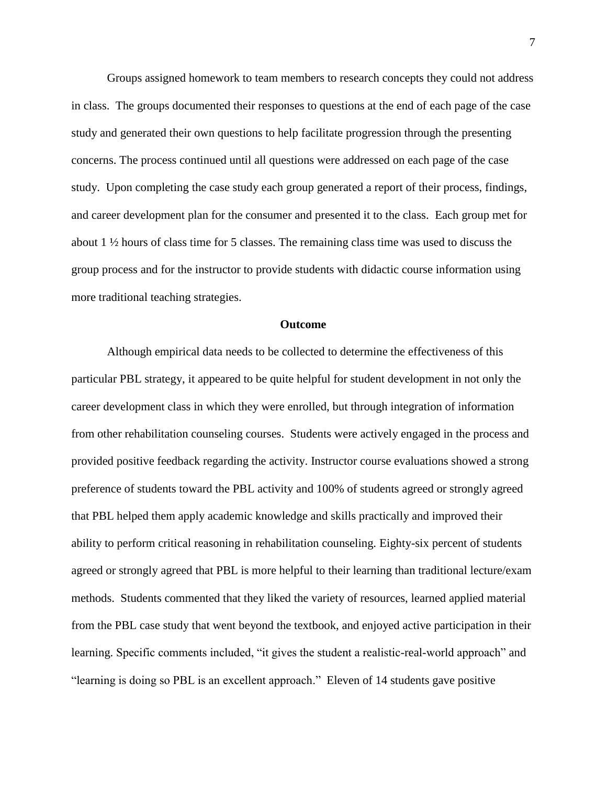Groups assigned homework to team members to research concepts they could not address in class. The groups documented their responses to questions at the end of each page of the case study and generated their own questions to help facilitate progression through the presenting concerns. The process continued until all questions were addressed on each page of the case study. Upon completing the case study each group generated a report of their process, findings, and career development plan for the consumer and presented it to the class. Each group met for about 1 ½ hours of class time for 5 classes. The remaining class time was used to discuss the group process and for the instructor to provide students with didactic course information using more traditional teaching strategies.

#### **Outcome**

Although empirical data needs to be collected to determine the effectiveness of this particular PBL strategy, it appeared to be quite helpful for student development in not only the career development class in which they were enrolled, but through integration of information from other rehabilitation counseling courses. Students were actively engaged in the process and provided positive feedback regarding the activity. Instructor course evaluations showed a strong preference of students toward the PBL activity and 100% of students agreed or strongly agreed that PBL helped them apply academic knowledge and skills practically and improved their ability to perform critical reasoning in rehabilitation counseling. Eighty-six percent of students agreed or strongly agreed that PBL is more helpful to their learning than traditional lecture/exam methods. Students commented that they liked the variety of resources, learned applied material from the PBL case study that went beyond the textbook, and enjoyed active participation in their learning. Specific comments included, "it gives the student a realistic-real-world approach" and "learning is doing so PBL is an excellent approach." Eleven of 14 students gave positive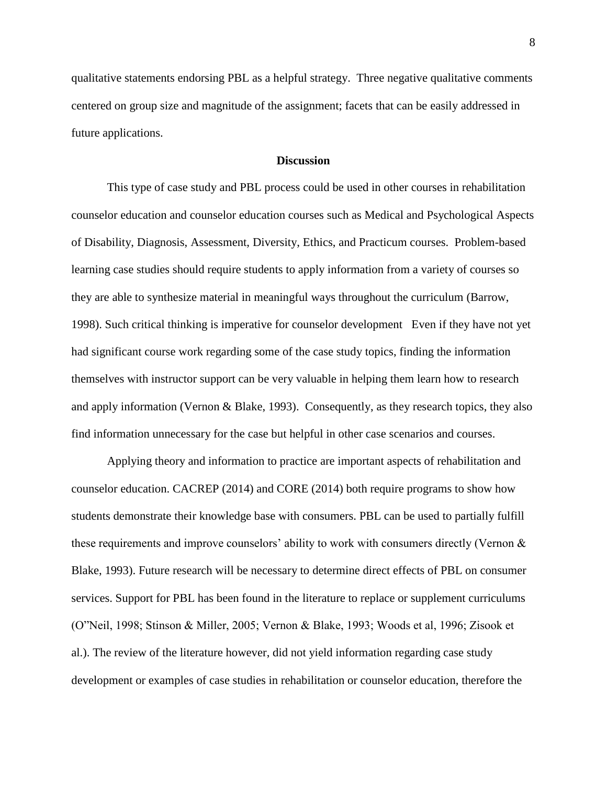qualitative statements endorsing PBL as a helpful strategy. Three negative qualitative comments centered on group size and magnitude of the assignment; facets that can be easily addressed in future applications.

### **Discussion**

This type of case study and PBL process could be used in other courses in rehabilitation counselor education and counselor education courses such as Medical and Psychological Aspects of Disability, Diagnosis, Assessment, Diversity, Ethics, and Practicum courses. Problem-based learning case studies should require students to apply information from a variety of courses so they are able to synthesize material in meaningful ways throughout the curriculum (Barrow, 1998). Such critical thinking is imperative for counselor development Even if they have not yet had significant course work regarding some of the case study topics, finding the information themselves with instructor support can be very valuable in helping them learn how to research and apply information (Vernon & Blake, 1993). Consequently, as they research topics, they also find information unnecessary for the case but helpful in other case scenarios and courses.

Applying theory and information to practice are important aspects of rehabilitation and counselor education. CACREP (2014) and CORE (2014) both require programs to show how students demonstrate their knowledge base with consumers. PBL can be used to partially fulfill these requirements and improve counselors' ability to work with consumers directly (Vernon & Blake, 1993). Future research will be necessary to determine direct effects of PBL on consumer services. Support for PBL has been found in the literature to replace or supplement curriculums (O"Neil, 1998; Stinson & Miller, 2005; Vernon & Blake, 1993; Woods et al, 1996; Zisook et al.). The review of the literature however, did not yield information regarding case study development or examples of case studies in rehabilitation or counselor education, therefore the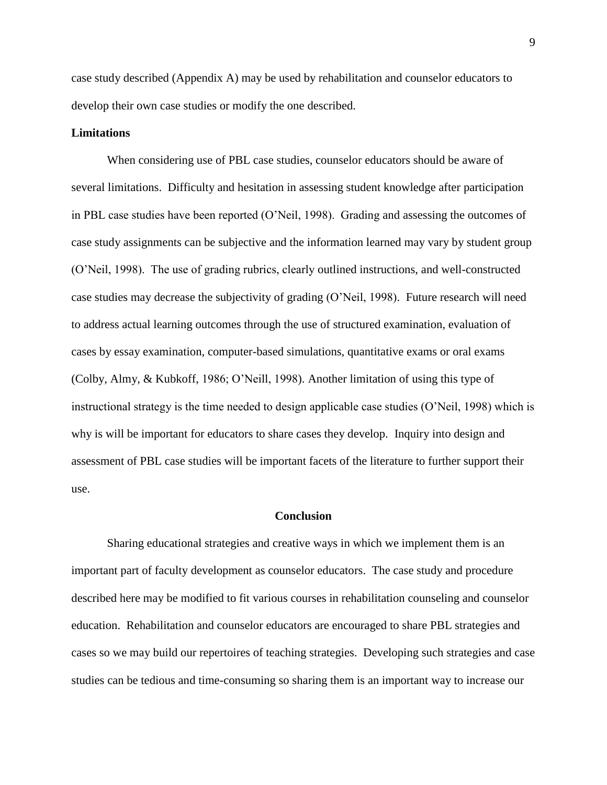case study described (Appendix A) may be used by rehabilitation and counselor educators to develop their own case studies or modify the one described.

## **Limitations**

When considering use of PBL case studies, counselor educators should be aware of several limitations. Difficulty and hesitation in assessing student knowledge after participation in PBL case studies have been reported (O'Neil, 1998). Grading and assessing the outcomes of case study assignments can be subjective and the information learned may vary by student group (O'Neil, 1998). The use of grading rubrics, clearly outlined instructions, and well-constructed case studies may decrease the subjectivity of grading (O'Neil, 1998). Future research will need to address actual learning outcomes through the use of structured examination, evaluation of cases by essay examination, computer-based simulations, quantitative exams or oral exams (Colby, Almy, & Kubkoff, 1986; O'Neill, 1998). Another limitation of using this type of instructional strategy is the time needed to design applicable case studies (O'Neil, 1998) which is why is will be important for educators to share cases they develop. Inquiry into design and assessment of PBL case studies will be important facets of the literature to further support their use.

#### **Conclusion**

Sharing educational strategies and creative ways in which we implement them is an important part of faculty development as counselor educators. The case study and procedure described here may be modified to fit various courses in rehabilitation counseling and counselor education. Rehabilitation and counselor educators are encouraged to share PBL strategies and cases so we may build our repertoires of teaching strategies. Developing such strategies and case studies can be tedious and time-consuming so sharing them is an important way to increase our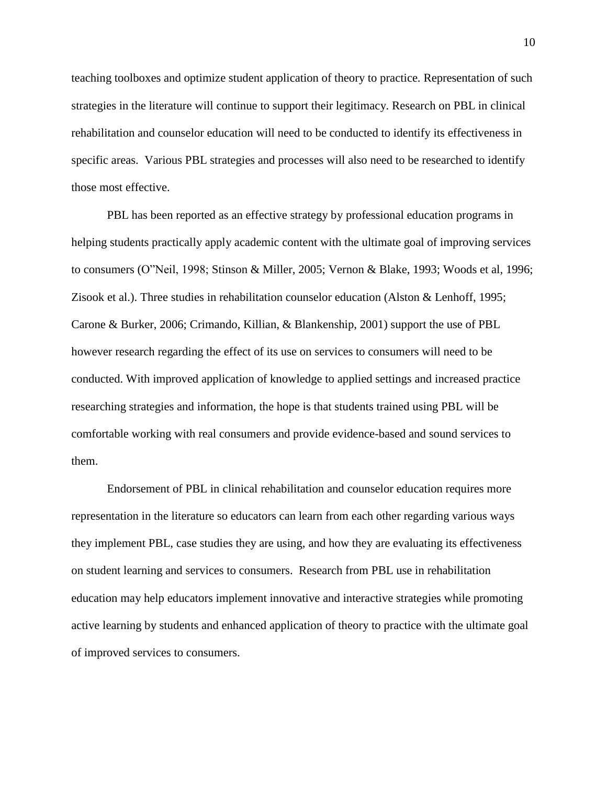teaching toolboxes and optimize student application of theory to practice. Representation of such strategies in the literature will continue to support their legitimacy. Research on PBL in clinical rehabilitation and counselor education will need to be conducted to identify its effectiveness in specific areas. Various PBL strategies and processes will also need to be researched to identify those most effective.

PBL has been reported as an effective strategy by professional education programs in helping students practically apply academic content with the ultimate goal of improving services to consumers (O"Neil, 1998; Stinson & Miller, 2005; Vernon & Blake, 1993; Woods et al, 1996; Zisook et al.). Three studies in rehabilitation counselor education (Alston & Lenhoff, 1995; Carone & Burker, 2006; Crimando, Killian, & Blankenship, 2001) support the use of PBL however research regarding the effect of its use on services to consumers will need to be conducted. With improved application of knowledge to applied settings and increased practice researching strategies and information, the hope is that students trained using PBL will be comfortable working with real consumers and provide evidence-based and sound services to them.

Endorsement of PBL in clinical rehabilitation and counselor education requires more representation in the literature so educators can learn from each other regarding various ways they implement PBL, case studies they are using, and how they are evaluating its effectiveness on student learning and services to consumers. Research from PBL use in rehabilitation education may help educators implement innovative and interactive strategies while promoting active learning by students and enhanced application of theory to practice with the ultimate goal of improved services to consumers.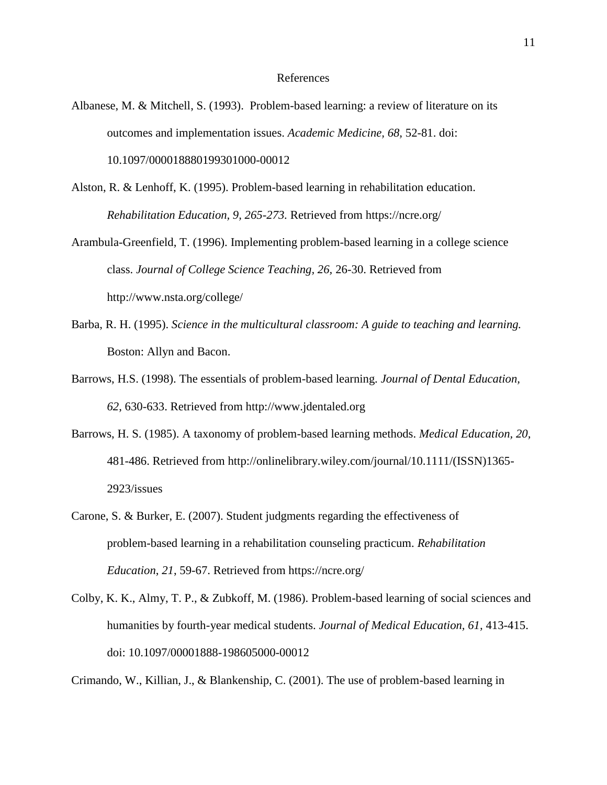#### References

- Albanese, M. & Mitchell, S. (1993). Problem-based learning: a review of literature on its outcomes and implementation issues. *Academic Medicine, 68,* 52-81. doi: 10.1097/000018880199301000-00012
- Alston, R. & Lenhoff, K. (1995). Problem-based learning in rehabilitation education. *Rehabilitation Education, 9, 265-273.* Retrieved from https://ncre.org/
- Arambula-Greenfield, T. (1996). Implementing problem-based learning in a college science class. *Journal of College Science Teaching, 26,* 26-30. Retrieved from http://www.nsta.org/college/
- Barba, R. H. (1995). *Science in the multicultural classroom: A guide to teaching and learning.* Boston: Allyn and Bacon.
- Barrows, H.S. (1998). The essentials of problem-based learning. *Journal of Dental Education, 62*, 630-633. Retrieved from http://www.jdentaled.org
- Barrows, H. S. (1985). A taxonomy of problem-based learning methods. *Medical Education, 20,*  481-486. Retrieved from http://onlinelibrary.wiley.com/journal/10.1111/(ISSN)1365- 2923/issues
- Carone, S. & Burker, E. (2007). Student judgments regarding the effectiveness of problem-based learning in a rehabilitation counseling practicum. *Rehabilitation Education*, *21*, 59-67. Retrieved from https://ncre.org/
- Colby, K. K., Almy, T. P., & Zubkoff, M. (1986). Problem-based learning of social sciences and humanities by fourth-year medical students. *Journal of Medical Education, 61,* 413-415. doi: 10.1097/00001888-198605000-00012

Crimando, W., Killian, J., & Blankenship, C. (2001). The use of problem-based learning in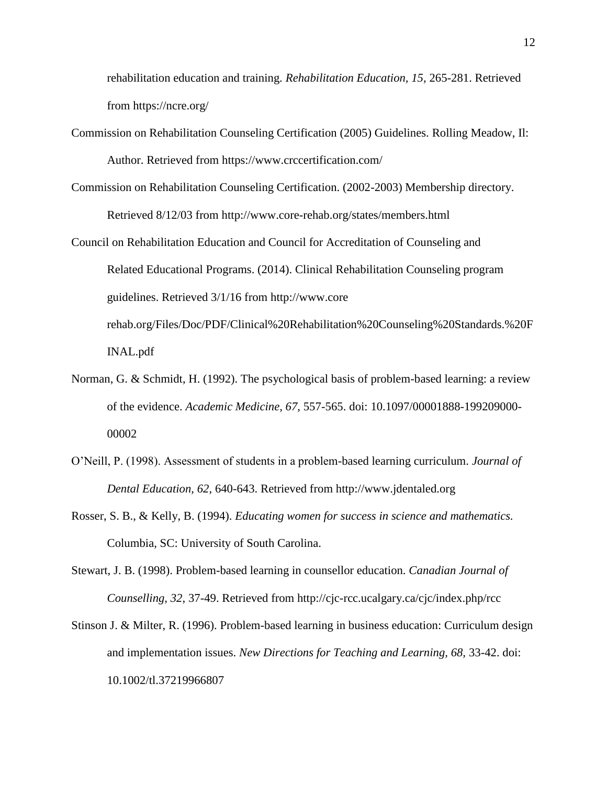rehabilitation education and training. *Rehabilitation Education, 15,* 265-281. Retrieved from https://ncre.org/

- Commission on Rehabilitation Counseling Certification (2005) Guidelines. Rolling Meadow, Il: Author. Retrieved from https://www.crccertification.com/
- Commission on Rehabilitation Counseling Certification. (2002-2003) Membership directory. Retrieved 8/12/03 from http://www.core-rehab.org/states/members.html
- Council on Rehabilitation Education and Council for Accreditation of Counseling and Related Educational Programs. (2014). Clinical Rehabilitation Counseling program guidelines. Retrieved 3/1/16 from http://www.core rehab.org/Files/Doc/PDF/Clinical%20Rehabilitation%20Counseling%20Standards.%20F INAL.pdf
- Norman, G. & Schmidt, H. (1992). The psychological basis of problem-based learning: a review of the evidence. *Academic Medicine, 67,* 557-565. doi: 10.1097/00001888-199209000- 00002
- O'Neill, P. (1998). Assessment of students in a problem-based learning curriculum. *Journal of Dental Education, 62,* 640-643. Retrieved from http://www.jdentaled.org
- Rosser, S. B., & Kelly, B. (1994). *Educating women for success in science and mathematics.* Columbia, SC: University of South Carolina.
- Stewart, J. B. (1998). Problem-based learning in counsellor education. *Canadian Journal of Counselling, 32,* 37-49. Retrieved from http://cjc-rcc.ucalgary.ca/cjc/index.php/rcc
- Stinson J. & Milter, R. (1996). Problem-based learning in business education: Curriculum design and implementation issues. *New Directions for Teaching and Learning, 68,* 33-42. doi: 10.1002/tl.37219966807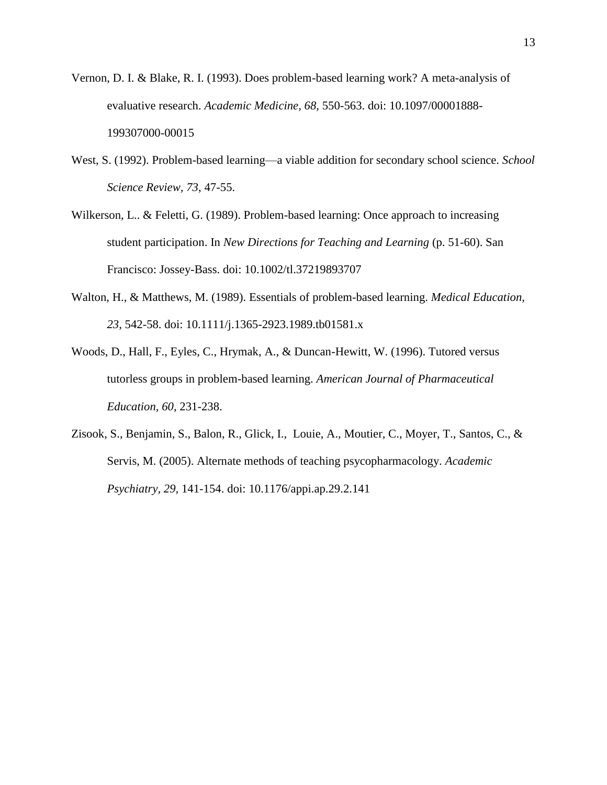- Vernon, D. I. & Blake, R. I. (1993). Does problem-based learning work? A meta-analysis of evaluative research. *Academic Medicine, 68,* 550-563. doi: 10.1097/00001888- 199307000-00015
- West, S. (1992). Problem-based learning—a viable addition for secondary school science. *School Science Review, 73*, 47-55.
- Wilkerson, L.. & Feletti, G. (1989). Problem-based learning: Once approach to increasing student participation. In *New Directions for Teaching and Learning* (p. 51-60). San Francisco: Jossey-Bass. doi: 10.1002/tl.37219893707
- Walton, H., & Matthews, M. (1989). Essentials of problem-based learning. *Medical Education, 23,* 542-58. doi: 10.1111/j.1365-2923.1989.tb01581.x
- Woods, D., Hall, F., Eyles, C., Hrymak, A., & Duncan-Hewitt, W. (1996). Tutored versus tutorless groups in problem-based learning. *American Journal of Pharmaceutical Education, 60*, 231-238.
- Zisook, S., Benjamin, S., Balon, R., Glick, I., Louie, A., Moutier, C., Moyer, T., Santos, C., & Servis, M. (2005). Alternate methods of teaching psycopharmacology. *Academic Psychiatry, 29,* 141-154. doi: 10.1176/appi.ap.29.2.141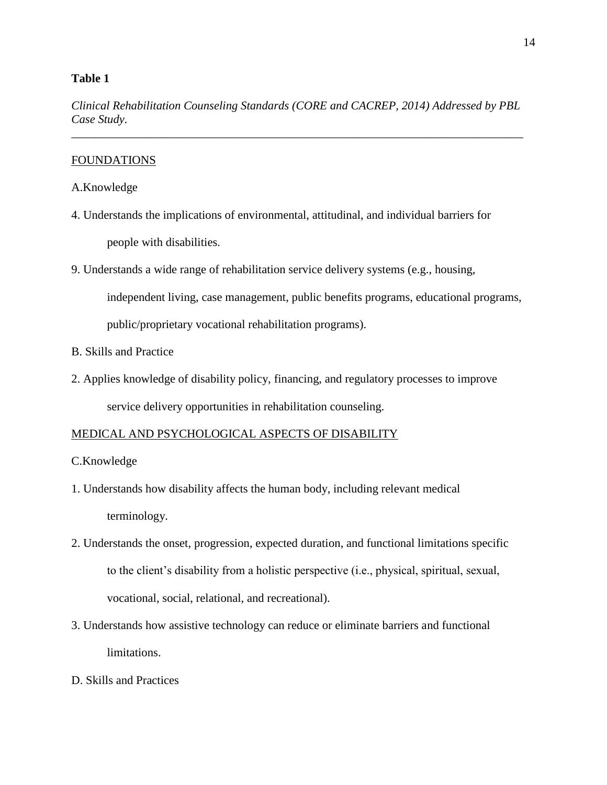# **Table 1**

*Clinical Rehabilitation Counseling Standards (CORE and CACREP, 2014) Addressed by PBL Case Study.* \_\_\_\_\_\_\_\_\_\_\_\_\_\_\_\_\_\_\_\_\_\_\_\_\_\_\_\_\_\_\_\_\_\_\_\_\_\_\_\_\_\_\_\_\_\_\_\_\_\_\_\_\_\_\_\_\_\_\_\_\_\_\_\_\_\_\_\_\_\_\_\_\_\_\_\_

# **FOUNDATIONS**

# A.Knowledge

- 4. Understands the implications of environmental, attitudinal, and individual barriers for people with disabilities.
- 9. Understands a wide range of rehabilitation service delivery systems (e.g., housing,

independent living, case management, public benefits programs, educational programs,

public/proprietary vocational rehabilitation programs).

- B. Skills and Practice
- 2. Applies knowledge of disability policy, financing, and regulatory processes to improve service delivery opportunities in rehabilitation counseling.

# MEDICAL AND PSYCHOLOGICAL ASPECTS OF DISABILITY

- C.Knowledge
- 1. Understands how disability affects the human body, including relevant medical terminology.
- 2. Understands the onset, progression, expected duration, and functional limitations specific to the client's disability from a holistic perspective (i.e., physical, spiritual, sexual, vocational, social, relational, and recreational).
- 3. Understands how assistive technology can reduce or eliminate barriers and functional limitations.
- D. Skills and Practices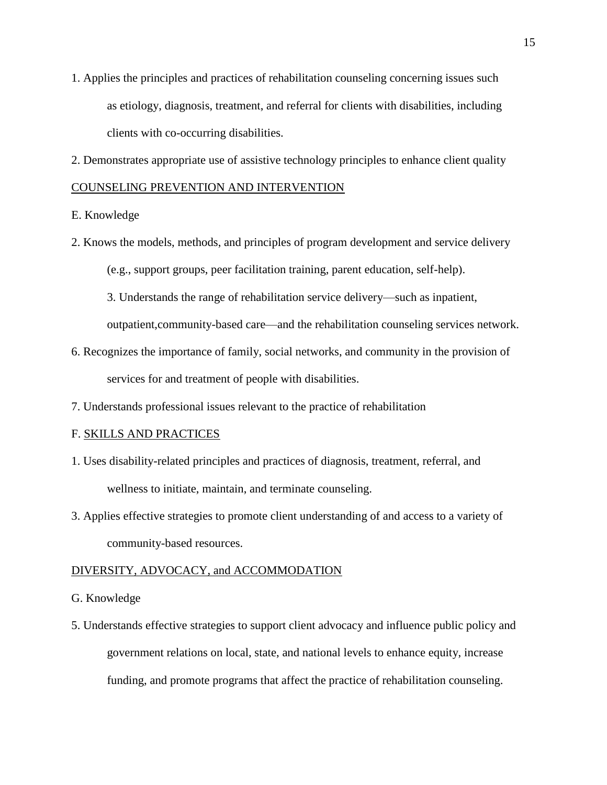- 1. Applies the principles and practices of rehabilitation counseling concerning issues such as etiology, diagnosis, treatment, and referral for clients with disabilities, including clients with co-occurring disabilities.
- 2. Demonstrates appropriate use of assistive technology principles to enhance client quality

# COUNSELING PREVENTION AND INTERVENTION

# E. Knowledge

2. Knows the models, methods, and principles of program development and service delivery (e.g., support groups, peer facilitation training, parent education, self-help).

3. Understands the range of rehabilitation service delivery—such as inpatient,

outpatient,community-based care—and the rehabilitation counseling services network.

- 6. Recognizes the importance of family, social networks, and community in the provision of services for and treatment of people with disabilities.
- 7. Understands professional issues relevant to the practice of rehabilitation

#### F. SKILLS AND PRACTICES

- 1. Uses disability-related principles and practices of diagnosis, treatment, referral, and wellness to initiate, maintain, and terminate counseling.
- 3. Applies effective strategies to promote client understanding of and access to a variety of community-based resources.

#### DIVERSITY, ADVOCACY, and ACCOMMODATION

- G. Knowledge
- 5. Understands effective strategies to support client advocacy and influence public policy and government relations on local, state, and national levels to enhance equity, increase funding, and promote programs that affect the practice of rehabilitation counseling.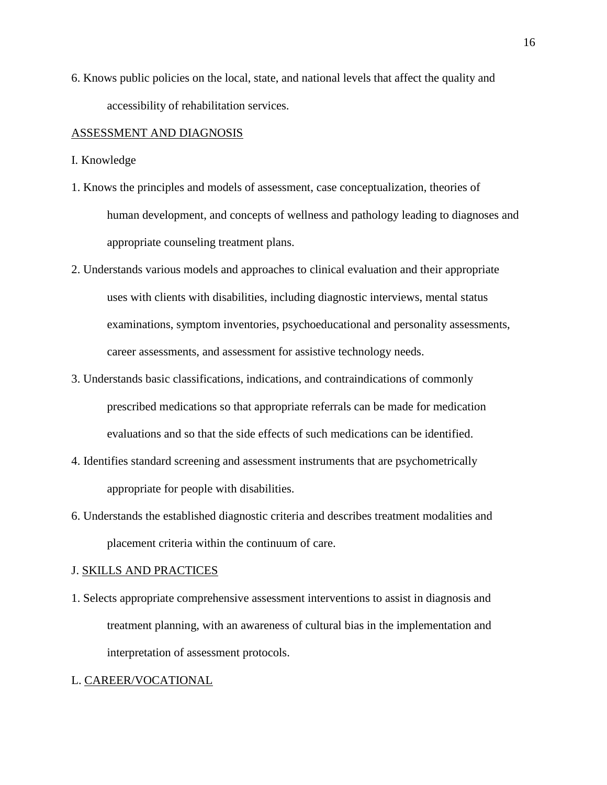6. Knows public policies on the local, state, and national levels that affect the quality and accessibility of rehabilitation services.

# ASSESSMENT AND DIAGNOSIS

- I. Knowledge
- 1. Knows the principles and models of assessment, case conceptualization, theories of human development, and concepts of wellness and pathology leading to diagnoses and appropriate counseling treatment plans.
- 2. Understands various models and approaches to clinical evaluation and their appropriate uses with clients with disabilities, including diagnostic interviews, mental status examinations, symptom inventories, psychoeducational and personality assessments, career assessments, and assessment for assistive technology needs.
- 3. Understands basic classifications, indications, and contraindications of commonly prescribed medications so that appropriate referrals can be made for medication evaluations and so that the side effects of such medications can be identified.
- 4. Identifies standard screening and assessment instruments that are psychometrically appropriate for people with disabilities.
- 6. Understands the established diagnostic criteria and describes treatment modalities and placement criteria within the continuum of care.

#### J. SKILLS AND PRACTICES

1. Selects appropriate comprehensive assessment interventions to assist in diagnosis and treatment planning, with an awareness of cultural bias in the implementation and interpretation of assessment protocols.

#### L. CAREER/VOCATIONAL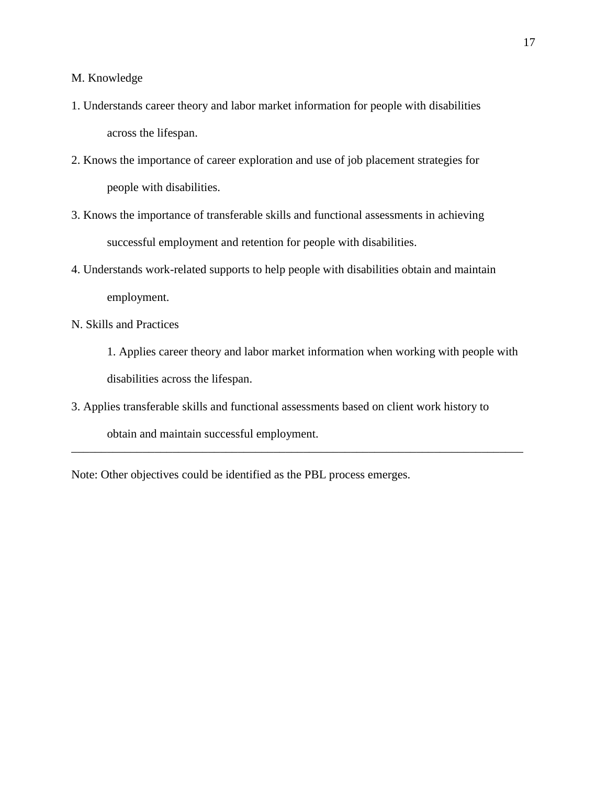M. Knowledge

- 1. Understands career theory and labor market information for people with disabilities across the lifespan.
- 2. Knows the importance of career exploration and use of job placement strategies for people with disabilities.
- 3. Knows the importance of transferable skills and functional assessments in achieving successful employment and retention for people with disabilities.
- 4. Understands work-related supports to help people with disabilities obtain and maintain employment.
- N. Skills and Practices
	- 1. Applies career theory and labor market information when working with people with disabilities across the lifespan.
- 3. Applies transferable skills and functional assessments based on client work history to obtain and maintain successful employment. \_\_\_\_\_\_\_\_\_\_\_\_\_\_\_\_\_\_\_\_\_\_\_\_\_\_\_\_\_\_\_\_\_\_\_\_\_\_\_\_\_\_\_\_\_\_\_\_\_\_\_\_\_\_\_\_\_\_\_\_\_\_\_\_\_\_\_\_\_\_\_\_\_\_\_\_

Note: Other objectives could be identified as the PBL process emerges.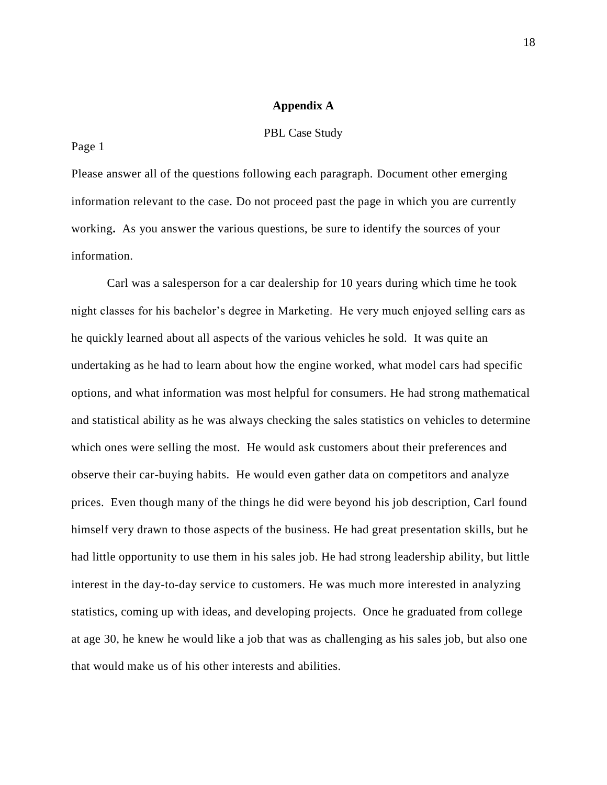## **Appendix A**

#### PBL Case Study

#### Page 1

Please answer all of the questions following each paragraph. Document other emerging information relevant to the case. Do not proceed past the page in which you are currently working**.** As you answer the various questions, be sure to identify the sources of your information.

Carl was a salesperson for a car dealership for 10 years during which time he took night classes for his bachelor's degree in Marketing. He very much enjoyed selling cars as he quickly learned about all aspects of the various vehicles he sold. It was quite an undertaking as he had to learn about how the engine worked, what model cars had specific options, and what information was most helpful for consumers. He had strong mathematical and statistical ability as he was always checking the sales statistics on vehicles to determine which ones were selling the most. He would ask customers about their preferences and observe their car-buying habits. He would even gather data on competitors and analyze prices. Even though many of the things he did were beyond his job description, Carl found himself very drawn to those aspects of the business. He had great presentation skills, but he had little opportunity to use them in his sales job. He had strong leadership ability, but little interest in the day-to-day service to customers. He was much more interested in analyzing statistics, coming up with ideas, and developing projects. Once he graduated from college at age 30, he knew he would like a job that was as challenging as his sales job, but also one that would make us of his other interests and abilities.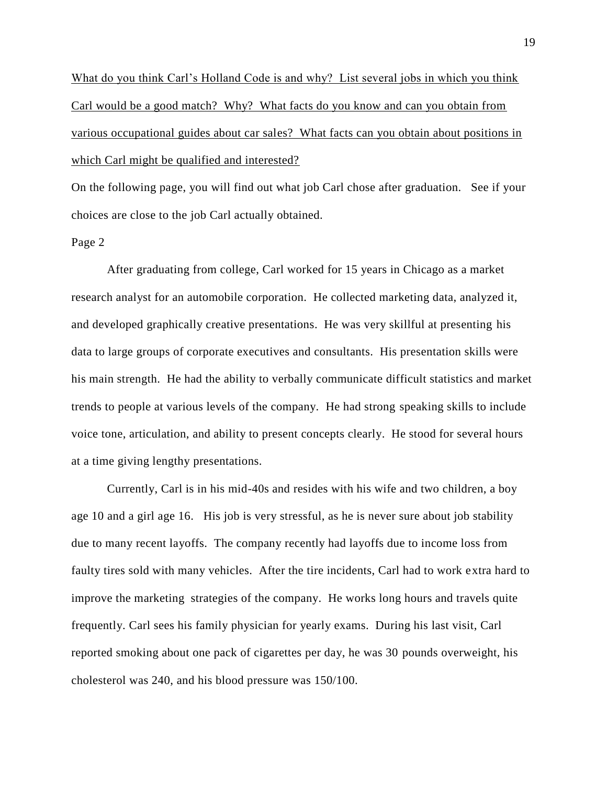What do you think Carl's Holland Code is and why? List several jobs in which you think Carl would be a good match? Why? What facts do you know and can you obtain from various occupational guides about car sales? What facts can you obtain about positions in which Carl might be qualified and interested?

On the following page, you will find out what job Carl chose after graduation. See if your choices are close to the job Carl actually obtained.

#### Page 2

After graduating from college, Carl worked for 15 years in Chicago as a market research analyst for an automobile corporation. He collected marketing data, analyzed it, and developed graphically creative presentations. He was very skillful at presenting his data to large groups of corporate executives and consultants. His presentation skills were his main strength. He had the ability to verbally communicate difficult statistics and market trends to people at various levels of the company. He had strong speaking skills to include voice tone, articulation, and ability to present concepts clearly. He stood for several hours at a time giving lengthy presentations.

Currently, Carl is in his mid-40s and resides with his wife and two children, a boy age 10 and a girl age 16. His job is very stressful, as he is never sure about job stability due to many recent layoffs. The company recently had layoffs due to income loss from faulty tires sold with many vehicles. After the tire incidents, Carl had to work extra hard to improve the marketing strategies of the company. He works long hours and travels quite frequently. Carl sees his family physician for yearly exams. During his last visit, Carl reported smoking about one pack of cigarettes per day, he was 30 pounds overweight, his cholesterol was 240, and his blood pressure was 150/100.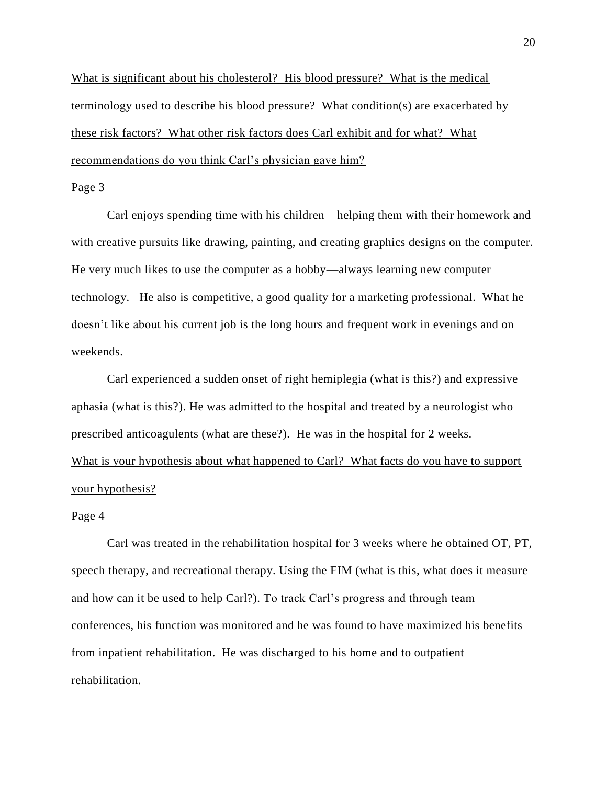What is significant about his cholesterol? His blood pressure? What is the medical terminology used to describe his blood pressure? What condition(s) are exacerbated by these risk factors? What other risk factors does Carl exhibit and for what? What recommendations do you think Carl's physician gave him?

# Page 3

Carl enjoys spending time with his children—helping them with their homework and with creative pursuits like drawing, painting, and creating graphics designs on the computer. He very much likes to use the computer as a hobby—always learning new computer technology. He also is competitive, a good quality for a marketing professional. What he doesn't like about his current job is the long hours and frequent work in evenings and on weekends.

Carl experienced a sudden onset of right hemiplegia (what is this?) and expressive aphasia (what is this?). He was admitted to the hospital and treated by a neurologist who prescribed anticoagulents (what are these?). He was in the hospital for 2 weeks. What is your hypothesis about what happened to Carl? What facts do you have to support your hypothesis?

#### Page 4

Carl was treated in the rehabilitation hospital for 3 weeks where he obtained OT, PT, speech therapy, and recreational therapy. Using the FIM (what is this, what does it measure and how can it be used to help Carl?). To track Carl's progress and through team conferences, his function was monitored and he was found to have maximized his benefits from inpatient rehabilitation. He was discharged to his home and to outpatient rehabilitation.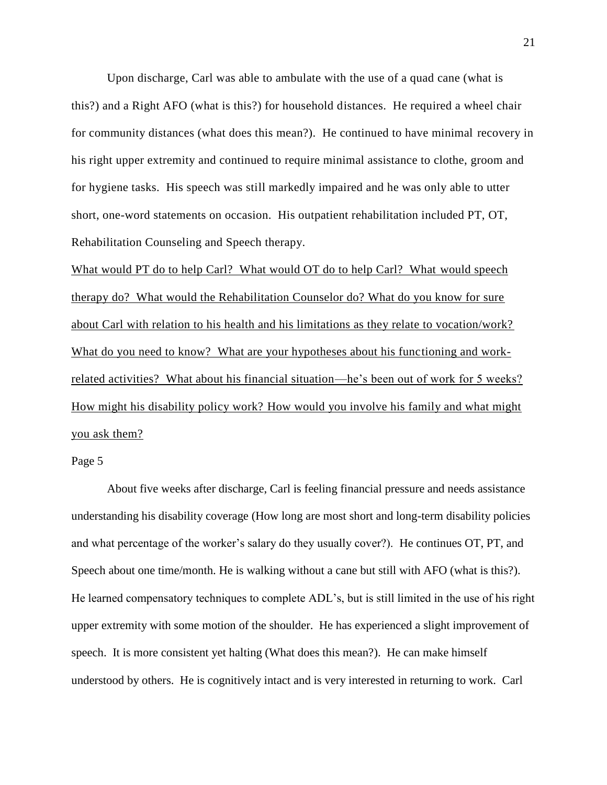Upon discharge, Carl was able to ambulate with the use of a quad cane (what is this?) and a Right AFO (what is this?) for household distances. He required a wheel chair for community distances (what does this mean?). He continued to have minimal recovery in his right upper extremity and continued to require minimal assistance to clothe, groom and for hygiene tasks. His speech was still markedly impaired and he was only able to utter short, one-word statements on occasion. His outpatient rehabilitation included PT, OT, Rehabilitation Counseling and Speech therapy.

What would PT do to help Carl? What would OT do to help Carl? What would speech therapy do? What would the Rehabilitation Counselor do? What do you know for sure about Carl with relation to his health and his limitations as they relate to vocation/work? What do you need to know? What are your hypotheses about his functioning and workrelated activities? What about his financial situation—he's been out of work for 5 weeks? How might his disability policy work? How would you involve his family and what might you ask them?

# Page 5

About five weeks after discharge, Carl is feeling financial pressure and needs assistance understanding his disability coverage (How long are most short and long-term disability policies and what percentage of the worker's salary do they usually cover?). He continues OT, PT, and Speech about one time/month. He is walking without a cane but still with AFO (what is this?). He learned compensatory techniques to complete ADL's, but is still limited in the use of his right upper extremity with some motion of the shoulder. He has experienced a slight improvement of speech. It is more consistent yet halting (What does this mean?). He can make himself understood by others. He is cognitively intact and is very interested in returning to work. Carl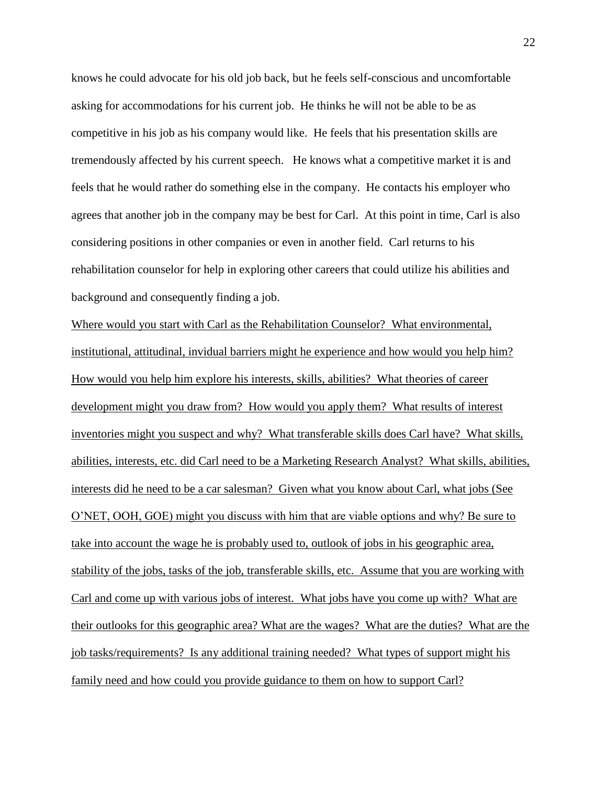knows he could advocate for his old job back, but he feels self-conscious and uncomfortable asking for accommodations for his current job. He thinks he will not be able to be as competitive in his job as his company would like. He feels that his presentation skills are tremendously affected by his current speech. He knows what a competitive market it is and feels that he would rather do something else in the company. He contacts his employer who agrees that another job in the company may be best for Carl. At this point in time, Carl is also considering positions in other companies or even in another field. Carl returns to his rehabilitation counselor for help in exploring other careers that could utilize his abilities and background and consequently finding a job.

Where would you start with Carl as the Rehabilitation Counselor? What environmental, institutional, attitudinal, invidual barriers might he experience and how would you help him? How would you help him explore his interests, skills, abilities? What theories of career development might you draw from? How would you apply them? What results of interest inventories might you suspect and why? What transferable skills does Carl have? What skills, abilities, interests, etc. did Carl need to be a Marketing Research Analyst? What skills, abilities, interests did he need to be a car salesman? Given what you know about Carl, what jobs (See O'NET, OOH, GOE) might you discuss with him that are viable options and why? Be sure to take into account the wage he is probably used to, outlook of jobs in his geographic area, stability of the jobs, tasks of the job, transferable skills, etc. Assume that you are working with Carl and come up with various jobs of interest. What jobs have you come up with? What are their outlooks for this geographic area? What are the wages? What are the duties? What are the job tasks/requirements? Is any additional training needed? What types of support might his family need and how could you provide guidance to them on how to support Carl?